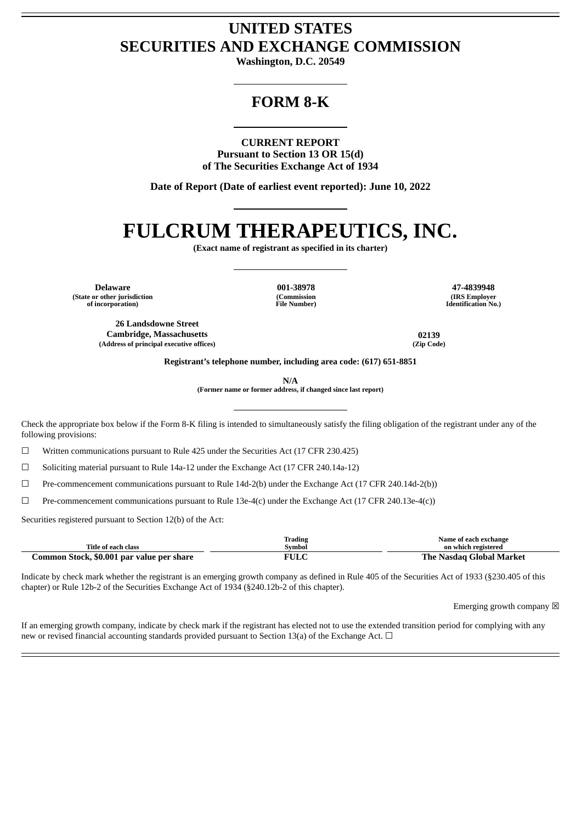## **UNITED STATES SECURITIES AND EXCHANGE COMMISSION**

**Washington, D.C. 20549**

## **FORM 8-K**

**CURRENT REPORT**

**Pursuant to Section 13 OR 15(d) of The Securities Exchange Act of 1934**

**Date of Report (Date of earliest event reported): June 10, 2022**

# **FULCRUM THERAPEUTICS, INC.**

**(Exact name of registrant as specified in its charter)**

**Delaware 001-38978 47-4839948 (State or other jurisdiction of incorporation)**

**26 Landsdowne Street Cambridge, Massachusetts 02139 (Address of principal executive offices) (Zip Code)**

**(Commission File Number)**

**(IRS Employer Identification No.)**

**Registrant's telephone number, including area code: (617) 651-8851**

**N/A**

**(Former name or former address, if changed since last report)**

Check the appropriate box below if the Form 8-K filing is intended to simultaneously satisfy the filing obligation of the registrant under any of the following provisions:

☐ Written communications pursuant to Rule 425 under the Securities Act (17 CFR 230.425)

☐ Soliciting material pursuant to Rule 14a-12 under the Exchange Act (17 CFR 240.14a-12)

☐ Pre-commencement communications pursuant to Rule 14d-2(b) under the Exchange Act (17 CFR 240.14d-2(b))

 $\Box$  Pre-commencement communications pursuant to Rule 13e-4(c) under the Exchange Act (17 CFR 240.13e-4(c))

Securities registered pursuant to Section 12(b) of the Act:

|                                           | Trading | Name of each exchange    |
|-------------------------------------------|---------|--------------------------|
| Title of each class                       | Svmbol  | on which registered      |
| Common Stock, \$0.001 par value per share | TULC    | The Nasdag Global Market |

Indicate by check mark whether the registrant is an emerging growth company as defined in Rule 405 of the Securities Act of 1933 (§230.405 of this chapter) or Rule 12b-2 of the Securities Exchange Act of 1934 (§240.12b-2 of this chapter).

Emerging growth company  $\boxtimes$ 

If an emerging growth company, indicate by check mark if the registrant has elected not to use the extended transition period for complying with any new or revised financial accounting standards provided pursuant to Section 13(a) of the Exchange Act.  $\Box$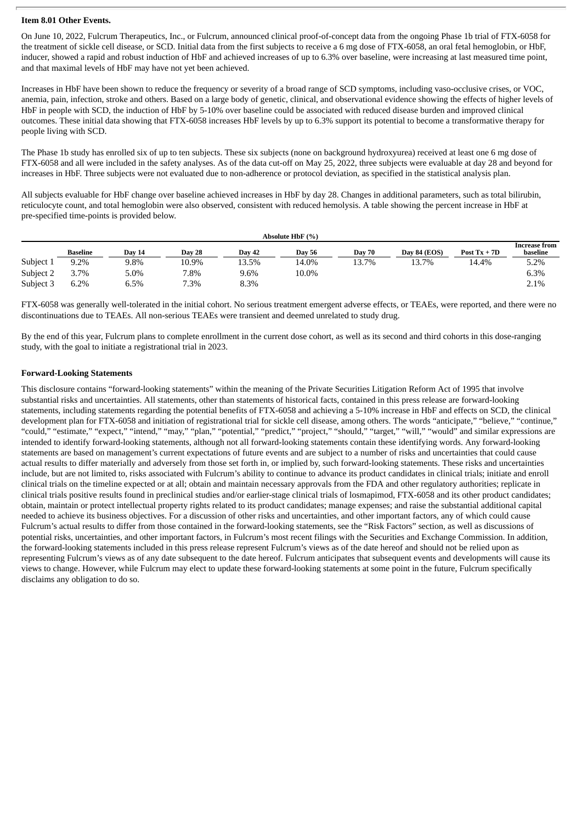#### **Item 8.01 Other Events.**

On June 10, 2022, Fulcrum Therapeutics, Inc., or Fulcrum, announced clinical proof-of-concept data from the ongoing Phase 1b trial of FTX-6058 for the treatment of sickle cell disease, or SCD. Initial data from the first subjects to receive a 6 mg dose of FTX-6058, an oral fetal hemoglobin, or HbF, inducer, showed a rapid and robust induction of HbF and achieved increases of up to 6.3% over baseline, were increasing at last measured time point, and that maximal levels of HbF may have not yet been achieved.

Increases in HbF have been shown to reduce the frequency or severity of a broad range of SCD symptoms, including vaso-occlusive crises, or VOC, anemia, pain, infection, stroke and others. Based on a large body of genetic, clinical, and observational evidence showing the effects of higher levels of HbF in people with SCD, the induction of HbF by 5-10% over baseline could be associated with reduced disease burden and improved clinical outcomes. These initial data showing that FTX-6058 increases HbF levels by up to 6.3% support its potential to become a transformative therapy for people living with SCD.

The Phase 1b study has enrolled six of up to ten subjects. These six subjects (none on background hydroxyurea) received at least one 6 mg dose of FTX-6058 and all were included in the safety analyses. As of the data cut-off on May 25, 2022, three subjects were evaluable at day 28 and beyond for increases in HbF. Three subjects were not evaluated due to non-adherence or protocol deviation, as specified in the statistical analysis plan.

All subjects evaluable for HbF change over baseline achieved increases in HbF by day 28. Changes in additional parameters, such as total bilirubin, reticulocyte count, and total hemoglobin were also observed, consistent with reduced hemolysis. A table showing the percent increase in HbF at pre-specified time-points is provided below.

| <b>Absolute HbF</b> (%) |                 |        |               |        |               |               |                |                |                           |  |
|-------------------------|-----------------|--------|---------------|--------|---------------|---------------|----------------|----------------|---------------------------|--|
|                         | <b>Baseline</b> | Day 14 | <b>Day 28</b> | Day 42 | <b>Dav 56</b> | <b>Day 70</b> | Day 84 $(EOS)$ | Post $Tx + 7D$ | Increase from<br>baseline |  |
| Subject 1               | $9.2\%$         | 9.8%   | 10.9%         | 3.5%   | 14.0%         | 13.7%         | 13.7%          | 14.4%          | 5.2%                      |  |
| Subject 2               | 3.7%            | 5.0%   | 7.8%          | 9.6%   | 10.0%         |               |                |                | 6.3%                      |  |
| Subject 3               | 6.2%            | 6.5%   | 7.3%          | 8.3%   |               |               |                |                | 2.1%                      |  |

FTX-6058 was generally well-tolerated in the initial cohort. No serious treatment emergent adverse effects, or TEAEs, were reported, and there were no discontinuations due to TEAEs. All non-serious TEAEs were transient and deemed unrelated to study drug.

By the end of this year, Fulcrum plans to complete enrollment in the current dose cohort, as well as its second and third cohorts in this dose-ranging study, with the goal to initiate a registrational trial in 2023.

#### **Forward-Looking Statements**

This disclosure contains "forward-looking statements" within the meaning of the Private Securities Litigation Reform Act of 1995 that involve substantial risks and uncertainties. All statements, other than statements of historical facts, contained in this press release are forward-looking statements, including statements regarding the potential benefits of FTX-6058 and achieving a 5-10% increase in HbF and effects on SCD, the clinical development plan for FTX-6058 and initiation of registrational trial for sickle cell disease, among others. The words "anticipate," "believe," "continue," "could," "estimate," "expect," "intend," "may," "plan," "potential," "predict," "project," "should," "target," "will," "would" and similar expressions are intended to identify forward-looking statements, although not all forward-looking statements contain these identifying words. Any forward-looking statements are based on management's current expectations of future events and are subject to a number of risks and uncertainties that could cause actual results to differ materially and adversely from those set forth in, or implied by, such forward-looking statements. These risks and uncertainties include, but are not limited to, risks associated with Fulcrum's ability to continue to advance its product candidates in clinical trials; initiate and enroll clinical trials on the timeline expected or at all; obtain and maintain necessary approvals from the FDA and other regulatory authorities; replicate in clinical trials positive results found in preclinical studies and/or earlier-stage clinical trials of losmapimod, FTX-6058 and its other product candidates; obtain, maintain or protect intellectual property rights related to its product candidates; manage expenses; and raise the substantial additional capital needed to achieve its business objectives. For a discussion of other risks and uncertainties, and other important factors, any of which could cause Fulcrum's actual results to differ from those contained in the forward-looking statements, see the "Risk Factors" section, as well as discussions of potential risks, uncertainties, and other important factors, in Fulcrum's most recent filings with the Securities and Exchange Commission. In addition, the forward-looking statements included in this press release represent Fulcrum's views as of the date hereof and should not be relied upon as representing Fulcrum's views as of any date subsequent to the date hereof. Fulcrum anticipates that subsequent events and developments will cause its views to change. However, while Fulcrum may elect to update these forward-looking statements at some point in the future, Fulcrum specifically disclaims any obligation to do so.